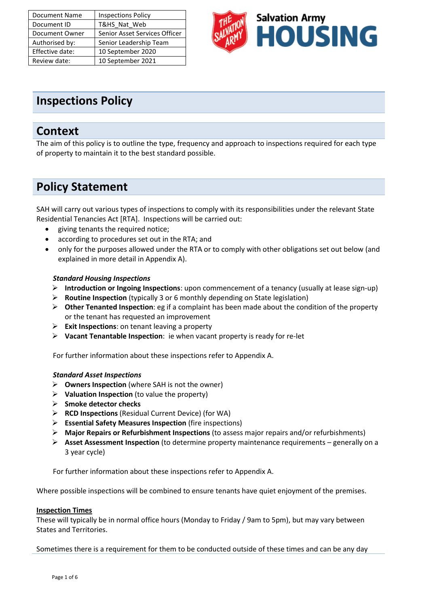| <b>Document Name</b> | <b>Inspections Policy</b>     |
|----------------------|-------------------------------|
| Document ID          | T&HS Nat Web                  |
| Document Owner       | Senior Asset Services Officer |
| Authorised by:       | Senior Leadership Team        |
| Effective date:      | 10 September 2020             |
| Review date:         | 10 September 2021             |



# **Inspections Policy**

# **Context**

The aim of this policy is to outline the type, frequency and approach to inspections required for each type of property to maintain it to the best standard possible.

# **Policy Statement**

SAH will carry out various types of inspections to comply with its responsibilities under the relevant State Residential Tenancies Act [RTA]. Inspections will be carried out:

- giving tenants the required notice;
- according to procedures set out in the RTA; and
- only for the purposes allowed under the RTA or to comply with other obligations set out below (and explained in more detail in Appendix A).

# *Standard Housing Inspections*

- ➢ **Introduction or Ingoing Inspections**: upon commencement of a tenancy (usually at lease sign-up)
- ➢ **Routine Inspection** (typically 3 or 6 monthly depending on State legislation)
- ➢ **Other Tenanted Inspection**: eg if a complaint has been made about the condition of the property or the tenant has requested an improvement
- ➢ **Exit Inspections**: on tenant leaving a property
- ➢ **Vacant Tenantable Inspection**: ie when vacant property is ready for re-let

For further information about these inspections refer to Appendix A.

## *Standard Asset Inspections*

- ➢ **Owners Inspection** (where SAH is not the owner)
- ➢ **Valuation Inspection** (to value the property)
- ➢ **Smoke detector checks**
- ➢ **RCD Inspections** (Residual Current Device) (for WA)
- ➢ **Essential Safety Measures Inspection** (fire inspections)
- ➢ **Major Repairs or Refurbishment Inspections** (to assess major repairs and/or refurbishments)
- ➢ **Asset Assessment Inspection** (to determine property maintenance requirements generally on a 3 year cycle)

For further information about these inspections refer to Appendix A.

Where possible inspections will be combined to ensure tenants have quiet enjoyment of the premises.

### **Inspection Times**

These will typically be in normal office hours (Monday to Friday / 9am to 5pm), but may vary between States and Territories.

Sometimes there is a requirement for them to be conducted outside of these times and can be any day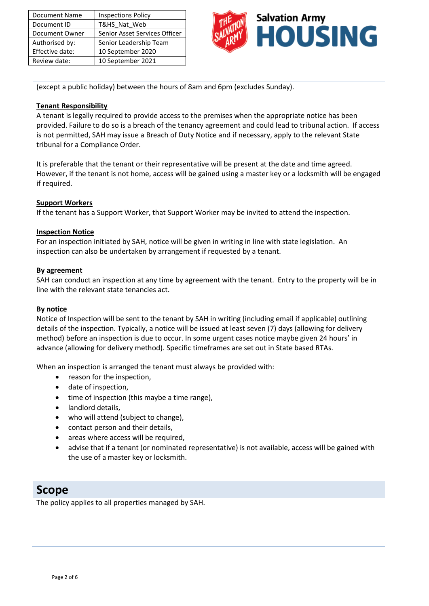| <b>Document Name</b> | <b>Inspections Policy</b>     |
|----------------------|-------------------------------|
| Document ID          | T&HS Nat Web                  |
| Document Owner       | Senior Asset Services Officer |
| Authorised by:       | Senior Leadership Team        |
| Effective date:      | 10 September 2020             |
| Review date:         | 10 September 2021             |



(except a public holiday) between the hours of 8am and 6pm (excludes Sunday).

## **Tenant Responsibility**

A tenant is legally required to provide access to the premises when the appropriate notice has been provided. Failure to do so is a breach of the tenancy agreement and could lead to tribunal action. If access is not permitted, SAH may issue a Breach of Duty Notice and if necessary, apply to the relevant State tribunal for a Compliance Order.

It is preferable that the tenant or their representative will be present at the date and time agreed. However, if the tenant is not home, access will be gained using a master key or a locksmith will be engaged if required.

### **Support Workers**

If the tenant has a Support Worker, that Support Worker may be invited to attend the inspection.

## **Inspection Notice**

For an inspection initiated by SAH, notice will be given in writing in line with state legislation. An inspection can also be undertaken by arrangement if requested by a tenant.

## **By agreement**

SAH can conduct an inspection at any time by agreement with the tenant. Entry to the property will be in line with the relevant state tenancies act.

### **By notice**

Notice of Inspection will be sent to the tenant by SAH in writing (including email if applicable) outlining details of the inspection. Typically, a notice will be issued at least seven (7) days (allowing for delivery method) before an inspection is due to occur. In some urgent cases notice maybe given 24 hours' in advance (allowing for delivery method). Specific timeframes are set out in State based RTAs.

When an inspection is arranged the tenant must always be provided with:

- reason for the inspection,
- date of inspection,
- time of inspection (this maybe a time range),
- landlord details,
- who will attend (subject to change),
- contact person and their details,
- areas where access will be required,
- advise that if a tenant (or nominated representative) is not available, access will be gained with the use of a master key or locksmith.

# **Scope**

The policy applies to all properties managed by SAH.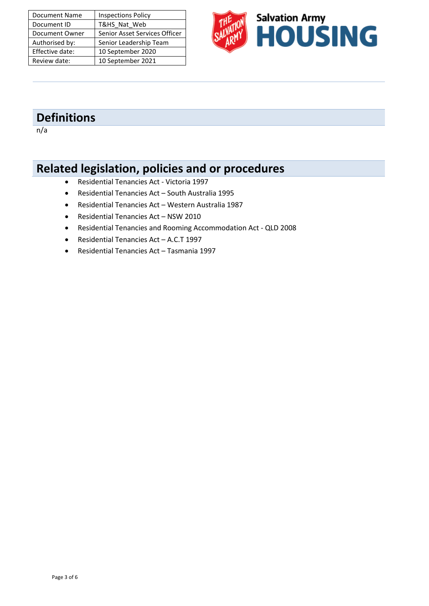| <b>Document Name</b> | <b>Inspections Policy</b>     |
|----------------------|-------------------------------|
| Document ID          | T&HS Nat Web                  |
| Document Owner       | Senior Asset Services Officer |
| Authorised by:       | Senior Leadership Team        |
| Effective date:      | 10 September 2020             |
| Review date:         | 10 September 2021             |



# **Definitions**

 $n/a$ 

# **Related legislation, policies and or procedures**

- Residential Tenancies Act Victoria 1997
- Residential Tenancies Act South Australia 1995
- Residential Tenancies Act Western Australia 1987
- Residential Tenancies Act NSW 2010
- Residential Tenancies and Rooming Accommodation Act QLD 2008
- Residential Tenancies Act A.C.T 1997
- Residential Tenancies Act Tasmania 1997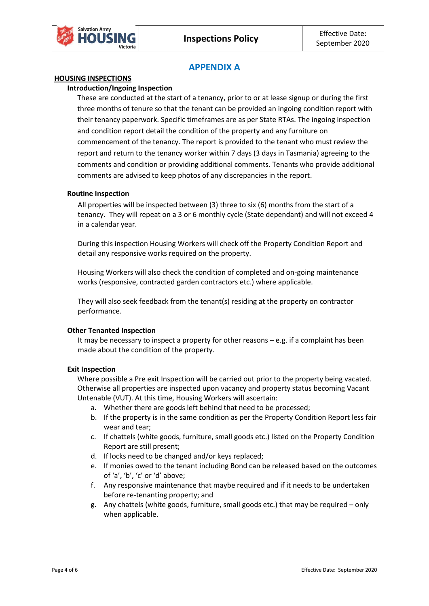

# **APPENDIX A**

### **HOUSING INSPECTIONS**

### **Introduction/Ingoing Inspection**

These are conducted at the start of a tenancy, prior to or at lease signup or during the first three months of tenure so that the tenant can be provided an ingoing condition report with their tenancy paperwork. Specific timeframes are as per State RTAs. The ingoing inspection and condition report detail the condition of the property and any furniture on commencement of the tenancy. The report is provided to the tenant who must review the report and return to the tenancy worker within 7 days (3 days in Tasmania) agreeing to the comments and condition or providing additional comments. Tenants who provide additional comments are advised to keep photos of any discrepancies in the report.

### **Routine Inspection**

All properties will be inspected between (3) three to six (6) months from the start of a tenancy. They will repeat on a 3 or 6 monthly cycle (State dependant) and will not exceed 4 in a calendar year.

During this inspection Housing Workers will check off the Property Condition Report and detail any responsive works required on the property.

Housing Workers will also check the condition of completed and on-going maintenance works (responsive, contracted garden contractors etc.) where applicable.

They will also seek feedback from the tenant(s) residing at the property on contractor performance.

### **Other Tenanted Inspection**

It may be necessary to inspect a property for other reasons  $-e.g.$  if a complaint has been made about the condition of the property.

#### **Exit Inspection**

Where possible a Pre exit Inspection will be carried out prior to the property being vacated. Otherwise all properties are inspected upon vacancy and property status becoming Vacant Untenable (VUT). At this time, Housing Workers will ascertain:

- a. Whether there are goods left behind that need to be processed;
- b. If the property is in the same condition as per the Property Condition Report less fair wear and tear;
- c. If chattels (white goods, furniture, small goods etc.) listed on the Property Condition Report are still present;
- d. If locks need to be changed and/or keys replaced;
- e. If monies owed to the tenant including Bond can be released based on the outcomes of 'a', 'b', 'c' or 'd' above;
- f. Any responsive maintenance that maybe required and if it needs to be undertaken before re-tenanting property; and
- g. Any chattels (white goods, furniture, small goods etc.) that may be required only when applicable.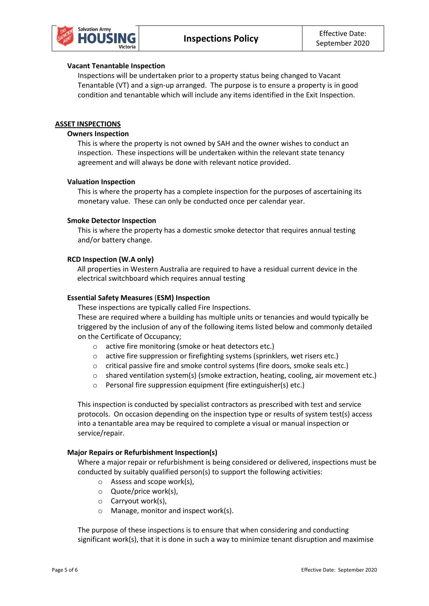

#### **Vacant Tenantable Inspection**

Inspections will be undertaken prior to a property status being changed to Vacant Tenantable (VT) and a sign-up arranged. The purpose is to ensure a property is in good condition and tenantable which will include any items identified in the Exit Inspection.

#### **ASSET INSPECTIONS**

#### **Owners Inspection**

This is where the property is not owned by SAH and the owner wishes to conduct an inspection. These inspections will be undertaken within the relevant state tenancy agreement and will always be done with relevant notice provided.

#### **Valuation Inspection**

This is where the property has a complete inspection for the purposes of ascertaining its monetary value. These can only be conducted once per calendar year.

#### **Smoke Detector Inspection**

This is where the property has a domestic smoke detector that requires annual testing and/or battery change.

#### **RCD Inspection (W.A only)**

All properties in Western Australia are required to have a residual current device in the electrical switchboard which requires annual testing

#### **Essential Safety Measures** (**ESM) Inspection**

These inspections are typically called Fire Inspections.

These are required where a building has multiple units or tenancies and would typically be triggered by the inclusion of any of the following items listed below and commonly detailed on the Certificate of Occupancy;

- o active fire monitoring (smoke or heat detectors etc.)
- o active fire suppression or firefighting systems (sprinklers, wet risers etc.)
- o critical passive fire and smoke control systems (fire doors, smoke seals etc.)
- o shared ventilation system(s) (smoke extraction, heating, cooling, air movement etc.)
- o Personal fire suppression equipment (fire extinguisher(s) etc.)

This inspection is conducted by specialist contractors as prescribed with test and service protocols. On occasion depending on the inspection type or results of system test(s) access into a tenantable area may be required to complete a visual or manual inspection or service/repair.

#### **Major Repairs or Refurbishment Inspection(s)**

Where a major repair or refurbishment is being considered or delivered, inspections must be conducted by suitably qualified person(s) to support the following activities:

- o Assess and scope work(s),
- o Quote/price work(s),
- o Carryout work(s),
- o Manage, monitor and inspect work(s).

The purpose of these inspections is to ensure that when considering and conducting significant work(s), that it is done in such a way to minimize tenant disruption and maximise